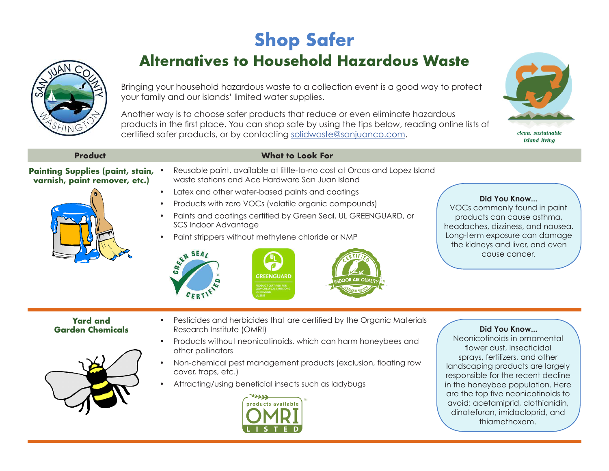## **Shop Safer**



**Alternatives to Household Hazardous Waste**

Bringing your household hazardous waste to a collection event is a good way to protect your family and our islands' limited water supplies.

Another way is to choose safer products that reduce or even eliminate hazardous products in the first place. You can shop safe by using the tips below, reading online lists of certified safer products, or by contacting solidwaste@sanjuanco.com.



clean, sustainable *island livina* 

## **Product What to Look For**

## **Painting Supplies (paint, stain, varnish, paint remover, etc.)**



- Latex and other water-based paints and coatings
- Products with zero VOCs (volatile organic compounds)
- Paints and coatings certified by Green Seal, UL GREENGUARD, or SCS Indoor Advantage
- 







## **Did You Know...**

VOCs commonly found in paint products can cause asthma, headaches, dizziness, and nausea. Long-term exposure can damage the kidneys and liver, and even cause cancer.

**Yard and Garden Chemicals**



- Pesticides and herbicides that are certified by the Organic Materials Research Institute (OMRI)
- Products without neonicotinoids, which can harm honeybees and other pollinators
- Non-chemical pest management products (exclusion, floating row cover, traps, etc.)
- Attracting/using beneficial insects such as ladybugs



**Did You Know...**  Neonicotinoids in ornamental flower dust, insecticidal sprays, fertilizers, and other landscaping products are largely responsible for the recent decline in the honeybee population. Here are the top five neonicotinoids to avoid: acetamiprid, clothianidin, dinotefuran, imidacloprid, and thiamethoxam.